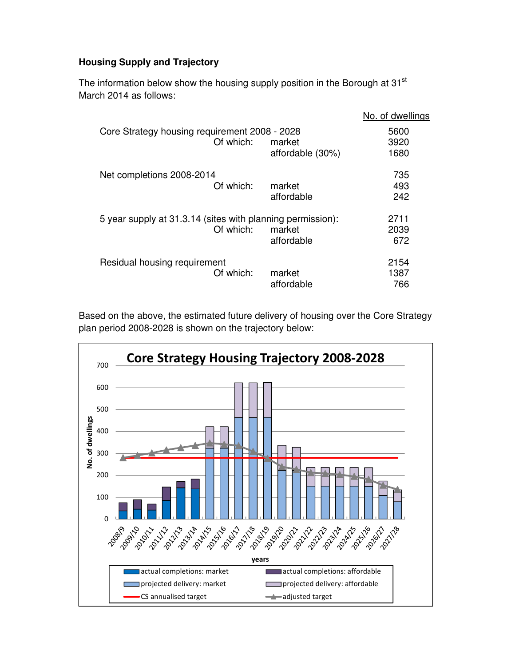## **Housing Supply and Trajectory**

The information below show the housing supply position in the Borough at 31<sup>st</sup> March 2014 as follows:

|                                                            |                            | No. of dwellings     |
|------------------------------------------------------------|----------------------------|----------------------|
| Core Strategy housing requirement 2008 - 2028<br>Of which: | market<br>affordable (30%) | 5600<br>3920<br>1680 |
|                                                            |                            |                      |
| Net completions 2008-2014                                  |                            | 735                  |
| Of which:                                                  | market                     | 493                  |
|                                                            | affordable                 | 242                  |
| 5 year supply at 31.3.14 (sites with planning permission): |                            | 2711                 |
| Of which:                                                  | market                     | 2039                 |
|                                                            | affordable                 | 672                  |
| Residual housing requirement                               |                            | 2154                 |
| Of which:                                                  | market                     | 1387                 |
|                                                            | affordable                 | 766                  |

Based on the above, the estimated future delivery of housing over the Core Strategy plan period 2008-2028 is shown on the trajectory below: